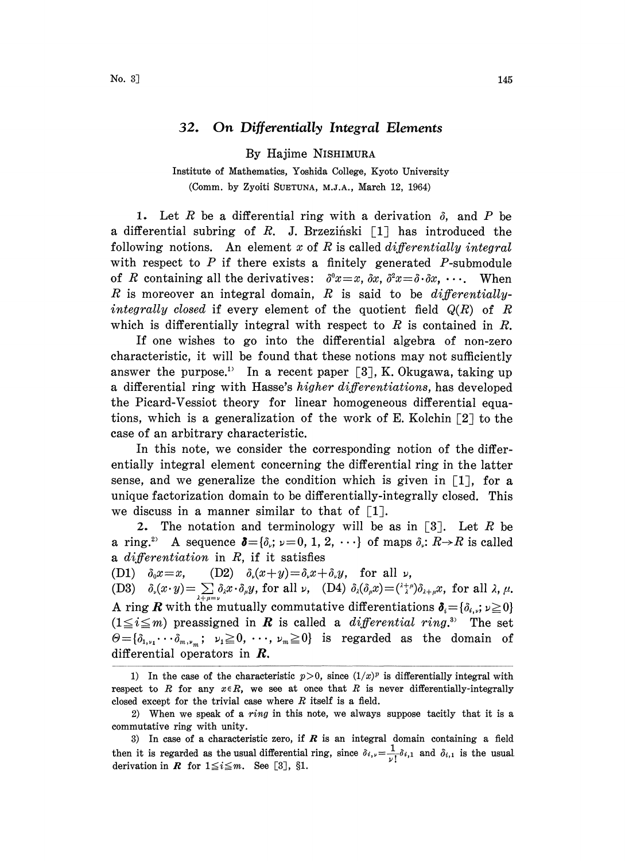## 32. On Differentially Integral Elements

By Hajime NISHIMURA

Institute of Mathematics, Yoshida College, Kyoto University (Comm. by Zyoiti SUETUNA, M.J.A., March 12, 1964)

1. Let R be a differential ring with a derivation  $\delta$ , and P be a differential subring of R. J. Brzeziński  $[1]$  has introduced the following notions. An element x of R is called differentially integral with respect to  $P$  if there exists a finitely generated  $P$ -submodule of R containing all the derivatives:  $\delta^0 x = x, \, \delta x, \, \delta^2 x = \delta \cdot \delta x, \, \cdots$ . When R is moreover an integral domain, R is said to be differentiallyintegrally closed if every element of the quotient field  $Q(R)$  of R which is differentially integral with respect to  $R$  is contained in  $R$ .

If one wishes to go into the differential algebra of non-zero characteristic, it will be found that these notions may not sufficiently answer the purpose.<sup>1)</sup> In a recent paper [3], K. Okugawa, taking up a differential ring with Hasse's higher differentiations, has developed the Picard-Vessiot theory for linear homogeneous differential equations, which is a generalization of the work of E. Kolchin  $\lceil 2 \rceil$  to the case of an arbitrary characteristic.

In this note, we consider the corresponding notion of the differentially integral element concerning the differential ring in the latter sense, and we generalize the condition which is given in  $\lceil 1 \rceil$ , for a unique factorization domain to be differentially-integrally closed. This we discuss in a manner similar to that of  $\lceil 1 \rceil$ .

2. The notation and terminology will be as in  $\lceil 3 \rceil$ . Let R be a ring.<sup>2</sup> A sequence  $\delta = {\delta_i; \nu = 0, 1, 2, \cdots}$  of maps  $\delta_i: R \rightarrow R$  is called a differentiation in  $R$ , if it satisfies

(D1)  $\delta_0 x = x$ , (D2)  $\delta_x (x+y) = \delta_x x + \delta_y y$ , for all  $\nu$ ,

(D3)  $\delta_{\nu}(x \cdot y) = \sum \delta_{\lambda} x \cdot \delta_{\mu} y$ , for all  $\nu$ , (D4)  $\delta_{\lambda}(\delta_{\mu} x) = {(\lambda + \mu) \delta_{\lambda + \mu} x}$ , for all  $\lambda$ ,  $\mu$ . A ring  $R$  with the mutually commutative differentiations  $(1 \leq i \leq m)$  preassigned in **R** is called a *differential ring*.<sup>33</sup> The set  $\Theta = {\delta_{1,\nu_1}\cdots\delta_{m,\nu_m}}; \nu_1 \ge 0, \dots, \nu_m \ge 0$  is regarded as the domain of differential operators in *.* 

<sup>1)</sup> In the case of the characteristic  $p>0$ , since  $(1/x)^p$  is differentially integral with respect to R for any  $x \in R$ , we see at once that R is never differentially-integrally closed except for the trivial case where  $R$  itself is a field.

<sup>2)</sup> When we speak of a ring in this note, we always suppose tacitly that it is a commutative ring with unity.

<sup>3)</sup> In case of a characteristic zero, if  $R$  is an integral domain containing a field then it is regarded as the usual differential ring, since  $\delta_{i,r}=\frac{1}{\nu}i\delta_{i,1}$  and  $\delta_{i,1}$  is the usual derivation in  $R$  for  $1 \leq i \leq m$ . See [3], §1.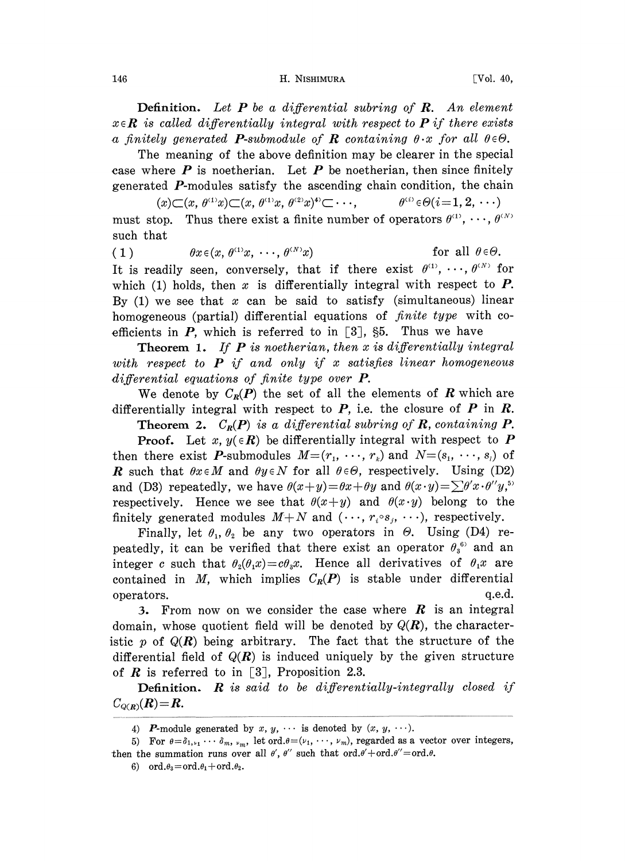## 146 **H. NISHIMURA IVol. 40,**

**Definition.** Let  $P$  be a differential subring of  $R$ . An element  $x \in \mathbb{R}$  is called differentially integral with respect to **P** if there exists a finitely generated **P**-submodule of **R** containing  $\theta \cdot x$  for all  $\theta \in \Theta$ .

The meaning of the above definition may be clearer in the special case where  $P$  is noetherian. Let  $P$  be noetherian, then since finitely

generated **P**-modules satisfy the ascending chain condition, the chain  $(x) \subset (x, \theta^{(1)}x) \subset (x, \theta^{(1)}x, \theta^{(2)}x)^{\ast} \subset \cdots$ ,  $\theta^{(i)} \in \Theta(i=1, 2, \cdots)$ must stop. Thus there exist a finite number of operators  $\theta^{(1)}$ , ...,  $\theta^{(N)}$ such that

(1) 
$$
\theta x \in (x, \theta^{\{1\}} x, \cdots, \theta^{\{N\}} x)
$$
 for all  $\theta \in \Theta$ .

It is readily seen, conversely, that if there exist  $\theta^{(1)}, \dots, \theta^{(N)}$  for which (1) holds, then x is differentially integral with respect to  $P$ . By (1) we see that x can be said to satisfy (simultaneous) linear homogeneous (partial) differential equations of *finite type* with coefficients in P, which is referred to in [3],  $\S5$ . Thus we have

**Theorem 1.** If  $P$  is noetherian, then  $x$  is differentially integral with respect to  $P$  if and only if x satisfies linear homogeneous differential equations of finite type over **P**.

We denote by  $C_R(P)$  the set of all the elements of R which are differentially integral with respect to  $P$ , i.e. the closure of  $P$  in  $R$ .

**Theorem 2.**  $C_R(P)$  is a differential subring of R, containing P.

**Proof.** Let x,  $y(\in \mathbb{R})$  be differentially integral with respect to P then there exist P-submodules  $M=(r_1,\ldots,r_k)$  and  $N=(s_1,\ldots,s_l)$  of **R** such that  $\theta x \in M$  and  $\theta y \in N$  for all  $\theta \in \Theta$ , respectively. Using (D2) and (D3) repeatedly, we have  $\theta(x+y) = \theta x + \theta y$  and  $\theta(x \cdot y) = \sum \theta' x \cdot \theta'' y$ , respectively. Hence we see that  $\theta(x+y)$  and  $\theta(x\cdot y)$  belong to the finitely generated modules  $M+N$  and  $(\cdots, r_i \circ s_i, \cdots)$ , respectively.

Finally, let  $\theta_1$ ,  $\theta_2$  be any two operators in  $\Theta$ . Using (D4) repeatedly, it can be verified that there exist an operator  $\theta_3^{\text{6}}$  and an integer c such that  $\theta_2(\theta_1 x) = c\theta_3 x$ . Hence all derivatives of  $\theta_1 x$  are contained in M, which implies  $C_R(P)$  is stable under differential operators, q.e.d.

3. From now on we consider the case where  $R$  is an integral domain, whose quotient field will be denoted by  $Q(R)$ , the characteristic p of  $Q(R)$  being arbitrary. The fact that the structure of the differential field of  $Q(R)$  is induced uniquely by the given structure of  $R$  is referred to in [3], Proposition 2.3.

**Definition.**  $\bf{R}$  is said to be differentially-integrally closed if  $C_{Q(R)}(R)=R.$ 

<sup>4)</sup> P-module generated by x,  $y$ ,  $\cdots$  is denoted by  $(x, y, \cdots)$ .

<sup>5)</sup> For  $\theta = \delta_{1,\nu_1} \cdots \delta_m$ ,  $\nu_m$ , let ord. $\theta = (\nu_1, \dots, \nu_m)$ , regarded as a vector over integers, then the summation runs over all  $\theta'$ ,  $\theta''$  such that  $\text{ord.}\theta' + \text{ord.}\theta'' = \text{ord.}\theta$ .

<sup>6)</sup> ord. $\theta_3 = \text{ord}.\theta_1 + \text{ord}.\theta_2$ .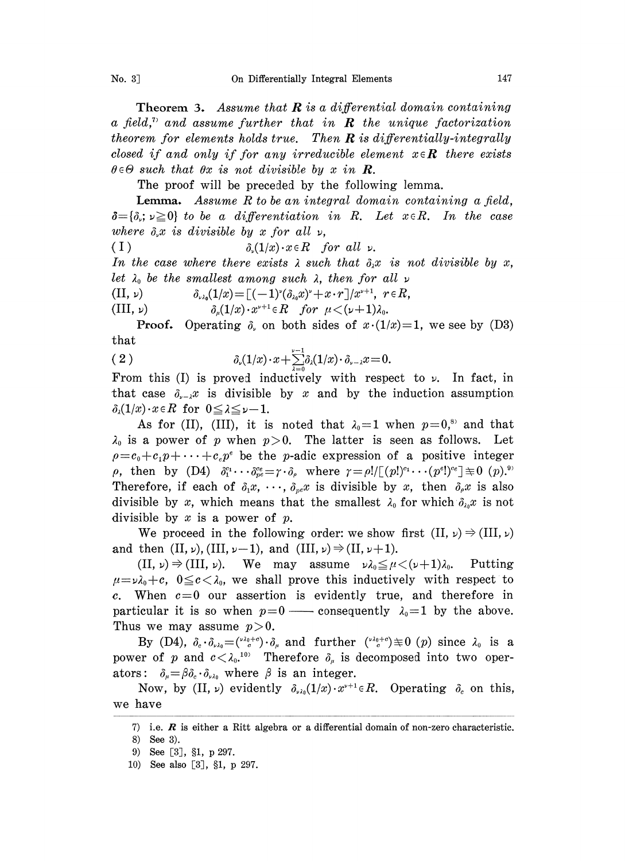**Theorem 3.** Assume that  $\bf{R}$  is a differential domain containing a field,<sup>n</sup> and assume further that in  $\bf{R}$  the unique factorization theorem for elements holds true. Then  $R$  is differentially-integrally closed if and only if for any irreducible element  $x \in \mathbb{R}$  there exists  $\theta \in \Theta$  such that  $\theta x$  is not divisible by x in  $\mathbb{R}$ .

The proof will be preceded by the following lemma.

**Lemma.** Assume R to be an integral domain containing a field,  $\delta = {\delta_r; \nu \geq 0}$  to be a differentiation in R. Let  $x \in R$ . In the case where  $\delta_r x$  is divisible by x for all  $\nu$ ,

( I )  $\delta_{\nu}(1/x) \cdot x \in R$  for all  $\nu$ .

In the case where there exists  $\lambda$  such that  $\delta_{\lambda} x$  is not divisible by x, let  $\lambda_0$  be the smallest among such  $\lambda$ , then for all  $\nu$ 

(II,  $\nu$ )  $\delta_{\nu\lambda_0}(1/x) = [(-1)^{\nu}(\delta_{\lambda_0}x)^{\nu}+x\cdot r]/x^{\nu+1}, \ \ r \in R,$ 

(III,  $\nu$ )  $\delta_u(1/x) \cdot x^{\nu+1} \in R$  for  $\mu < (\nu+1)\lambda_0$ .

**Proof.** Operating  $\delta$ , on both sides of  $x \cdot (1/x) = 1$ , we see by (D3) that

$$
(2) \qquad \qquad \delta_{\nu}(1/x) \cdot x + \sum_{\lambda=0}^{\nu-1} \delta_{\lambda}(1/x) \cdot \delta_{\nu-\lambda} x = 0.
$$

From this (I) is proved inductively with respect to  $\nu$ . In fact, in that case  $\delta_{x} = x^x$  is divisible by x and by the induction assumption  $\delta_{\lambda}(1/x)\cdot x\in R$  for  $0\leq\lambda\leq\nu-1$ .

As for (II), (III), it is noted that  $\lambda_0=1$  when  $p=0,^{\text{s}}$  and that  $\lambda_0$  is a power of p when  $p>0$ . The latter is seen as follows. Let  $p=c_0+c_1p+\cdots+c_np^e$  be the p-adic expression of a positive integer  $\rho$ , then by (D4)  $\delta_1^{c_1}\cdots\delta_{pe}^{c_e}=\gamma\cdot\delta_e$  where  $\gamma=\rho!/[(p!)^{c_1}\cdots(p^e])^{c_e}]\equiv 0$   $(p).^{9}$ Therefore, if each of  $\delta_1 x, \cdots, \delta_{n} x$  is divisible by x, then  $\delta_\rho x$  is also divisible by x, which means that the smallest  $\lambda_0$  for which  $\delta_{\lambda_0}x$  is not divisible by  $x$  is a power of  $p$ .

We proceed in the following order: we show first  $(II, \nu) \Rightarrow (III, \nu)$ and then  $(II, \nu)$ ,  $(III, \nu-1)$ , and  $(III, \nu) \Rightarrow (II, \nu+1)$ .

 $(II, \nu) \Rightarrow (III, \nu)$ . We may assume  $\nu \lambda_0 \leq \mu \leq (\nu+1)\lambda_0$ . Putting  $\mu = \nu \lambda_0 + c$ ,  $0 \leq c < \lambda_0$ , we shall prove this inductively with respect to c. When  $c=0$  our assertion is evidently true, and therefore in particular it is so when  $p=0$  — consequently  $\lambda_0=1$  by the above. Thus we may assume  $p>0$ .

By (D4),  $\delta_c \cdot \delta_{\nu \lambda_0} = \left( \frac{\nu \lambda_0 + c}{c} \right) \cdot \delta_\mu$  and further  $\left( \frac{\nu \lambda_0 + c}{c} \right) \not\equiv 0$  (p) since  $\lambda_0$  is a power of p and  $c < \lambda_0$ .<sup>10)</sup> Therefore  $\delta_{\mu}$  is decomposed into two operators:  $\delta_{\mu} = \beta \delta_c \cdot \delta_{\nu \lambda_0}$  where  $\beta$  is an integer.

Now, by (II,  $\nu$ ) evidently  $\delta_{\nu\lambda_0}(1/x)\cdot x^{\nu+1}\in R$ . Operating  $\delta_c$  on this, we have

<sup>7)</sup> i.e.  $\boldsymbol{R}$  is either a Ritt algebra or a differential domain of non-zero characteristic.

<sup>8)</sup> See 3).

<sup>9)</sup> See [3], §1, p 297.

<sup>10)</sup> See also [3], §1, p 297.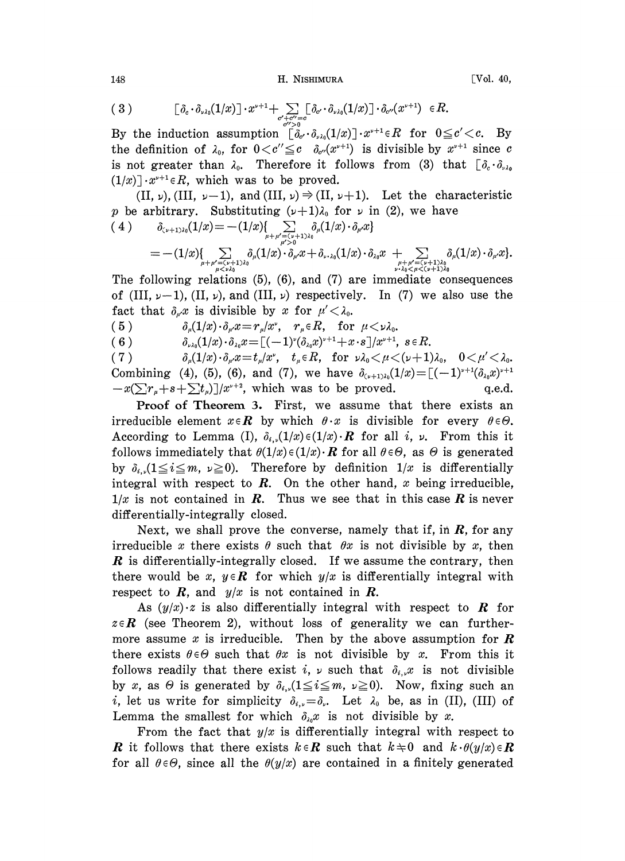H. NISHIMURA

$$
[\mathrm{Vol.} \ 40,
$$

$$
(3) \qquad \qquad [\delta_c \cdot \delta_{\nu \lambda_0}(1/x)] \cdot x^{\nu+1} + \sum_{\substack{\sigma' + \sigma'' = \sigma \\ \sigma'' > 0}} [\delta_{\sigma'} \cdot \delta_{\nu \lambda_0}(1/x)] \cdot \delta_{\sigma'}(x^{\nu+1}) \in R.
$$

By the induction assumption  $\lceil \delta_{c'} \cdot \delta_{\lambda} (1/x) \rceil \cdot x^{\nu+1} \in R$  for  $0 \leq c' < c$ . By the definition of  $\lambda_0$ , for  $0 < c'' \leq c \delta_{c''}(x^{\nu+1})$  is divisible by  $x^{\nu+1}$  since c is not greater than  $\lambda_0$ . Therefore it follows from (3) that  $[\delta_c \cdot \delta_{\nu \lambda_0}]$  $(1/x)$   $\cdot x^{y+1} \in R$ , which was to be proved.

 $(II, \nu)$ ,  $(III, \nu-1)$ , and  $(III, \nu) \Rightarrow (II, \nu+1)$ . Let the characteristic p be arbitrary. Substituting  $(\nu+1)\lambda_0$  for  $\nu$  in (2), we have

$$
( \; 4 \; ) \qquad \delta_{\zeta \nu+1)\lambda_0} (1/x) = - (1/x) \{ \sum_{\mu+\mu' = (\nu+1)\lambda_0} \delta_\mu (1/x) \cdot \delta_{\mu'} x \} \\ = - (1/x) \{ \sum_{\mu+\mu' = (\nu+1)\lambda_0} \delta_\mu (1/x) \cdot \delta_{\mu'} x + \delta_{\nu\cdot\lambda_0} (1/x) \cdot \delta_{\lambda_0} x \; + \! \! \sum_{\mu'+\mu' = (\nu+1)\lambda_0} \delta_\mu (1/x) \cdot \delta_{\mu'} x \}.
$$

The following relations  $(5)$ ,  $(6)$ , and  $(7)$  are immediate consequences of (III,  $\nu-1$ ), (II,  $\nu$ ), and (III,  $\nu$ ) respectively. In (7) we also use the fact that  $\delta_{\mu}x$  is divisible by x for  $\mu' < \lambda_0$ .

 $\delta_{\nu\lambda_0}(1/x)\cdot \delta_{\lambda_0}x = [(-1)^{\nu}(\delta_{\lambda_0}x)^{\nu+1}+x\cdot s]/x^{\nu+1}, s\in R.$  $(6)$ 

 $\delta_{\mu}(1/x) \cdot \delta_{\mu}x = t_{\mu}/x^{\nu}$ ,  $t_{\mu} \in R$ , for  $\nu \lambda_0 \leq \mu \leq (\nu+1)\lambda_0$ ,  $0 \leq \mu' \leq \lambda_0$ .  $(7)$ Combining (4), (5), (6), and (7), we have  $\delta_{(v+1)\lambda_0}(1/x) = [(-1)^{v+1}(\delta_{\lambda_0}x)^{v+1}]$  $-x(\sum r_{\mu}+s+\sum t_{\mu})/x^{\nu+2}$ , which was to be proved.  $q.e.d.$ 

Proof of Theorem 3. First, we assume that there exists an irreducible element  $x \in \mathbb{R}$  by which  $\theta \cdot x$  is divisible for every  $\theta \in \Theta$ . According to Lemma (I),  $\delta_{i,j}(1/x) \in (1/x) \cdot R$  for all i,  $\nu$ . From this it follows immediately that  $\theta(1/x) \in (1/x) \cdot R$  for all  $\theta \in \Theta$ , as  $\Theta$  is generated by  $\delta_{i}$  ( $1 \leq i \leq m$ ,  $\nu \geq 0$ ). Therefore by definition  $1/x$  is differentially integral with respect to  $R$ . On the other hand,  $x$  being irreducible,  $1/x$  is not contained in R. Thus we see that in this case R is never differentially-integrally closed.

Next, we shall prove the converse, namely that if, in  $R$ , for any irreducible x there exists  $\theta$  such that  $\theta x$  is not divisible by x, then  $\boldsymbol{R}$  is differentially-integrally closed. If we assume the contrary, then there would be x,  $y \in \mathbb{R}$  for which  $y/x$  is differentially integral with respect to  $R$ , and  $y/x$  is not contained in  $R$ .

As  $(y/x) \cdot z$  is also differentially integral with respect to **R** for  $z \in \mathbb{R}$  (see Theorem 2), without loss of generality we can furthermore assume x is irreducible. Then by the above assumption for  $\boldsymbol{R}$ there exists  $\theta \in \Theta$  such that  $\theta x$  is not divisible by x. From this it follows readily that there exist i,  $\nu$  such that  $\delta_{i,\nu}x$  is not divisible by x, as  $\Theta$  is generated by  $\delta_{i,j}$  ( $1 \leq i \leq m$ ,  $\nu \geq 0$ ). Now, fixing such an *i*, let us write for simplicity  $\delta_{i,\nu} = \delta_{\nu}$ . Let  $\lambda_0$  be, as in (II), (III) of Lemma the smallest for which  $\delta_{\lambda_0}x$  is not divisible by x.

From the fact that  $y/x$  is differentially integral with respect to **R** it follows that there exists  $k \in \mathbb{R}$  such that  $k \neq 0$  and  $k \cdot \theta(y/x) \in \mathbb{R}$ for all  $\theta \in \Theta$ , since all the  $\theta(y/x)$  are contained in a finitely generated

148